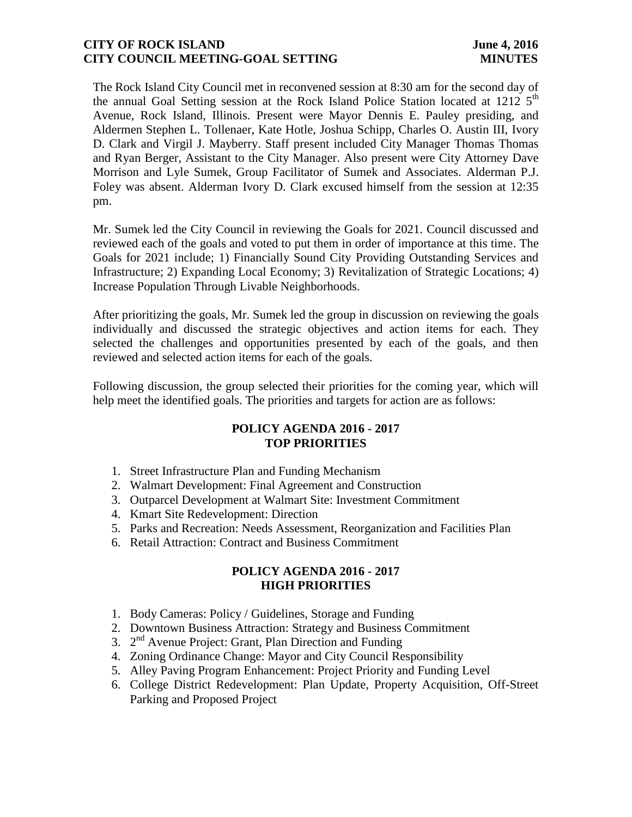#### **CITY OF ROCK ISLAND** June 4, 2016 **CITY COUNCIL MEETING-GOAL SETTING MINUTES**

The Rock Island City Council met in reconvened session at 8:30 am for the second day of the annual Goal Setting session at the Rock Island Police Station located at  $1212\,5^{\text{th}}$ Avenue, Rock Island, Illinois. Present were Mayor Dennis E. Pauley presiding, and Aldermen Stephen L. Tollenaer, Kate Hotle, Joshua Schipp, Charles O. Austin III, Ivory D. Clark and Virgil J. Mayberry. Staff present included City Manager Thomas Thomas and Ryan Berger, Assistant to the City Manager. Also present were City Attorney Dave Morrison and Lyle Sumek, Group Facilitator of Sumek and Associates. Alderman P.J. Foley was absent. Alderman Ivory D. Clark excused himself from the session at 12:35 pm.

Mr. Sumek led the City Council in reviewing the Goals for 2021. Council discussed and reviewed each of the goals and voted to put them in order of importance at this time. The Goals for 2021 include; 1) Financially Sound City Providing Outstanding Services and Infrastructure; 2) Expanding Local Economy; 3) Revitalization of Strategic Locations; 4) Increase Population Through Livable Neighborhoods.

After prioritizing the goals, Mr. Sumek led the group in discussion on reviewing the goals individually and discussed the strategic objectives and action items for each. They selected the challenges and opportunities presented by each of the goals, and then reviewed and selected action items for each of the goals.

Following discussion, the group selected their priorities for the coming year, which will help meet the identified goals. The priorities and targets for action are as follows:

#### **POLICY AGENDA 2016 - 2017 TOP PRIORITIES**

- 1. Street Infrastructure Plan and Funding Mechanism
- 2. Walmart Development: Final Agreement and Construction
- 3. Outparcel Development at Walmart Site: Investment Commitment
- 4. Kmart Site Redevelopment: Direction
- 5. Parks and Recreation: Needs Assessment, Reorganization and Facilities Plan
- 6. Retail Attraction: Contract and Business Commitment

# **POLICY AGENDA 2016 - 2017 HIGH PRIORITIES**

- 1. Body Cameras: Policy / Guidelines, Storage and Funding
- 2. Downtown Business Attraction: Strategy and Business Commitment
- 3. 2<sup>nd</sup> Avenue Project: Grant, Plan Direction and Funding
- 4. Zoning Ordinance Change: Mayor and City Council Responsibility
- 5. Alley Paving Program Enhancement: Project Priority and Funding Level
- 6. College District Redevelopment: Plan Update, Property Acquisition, Off-Street Parking and Proposed Project